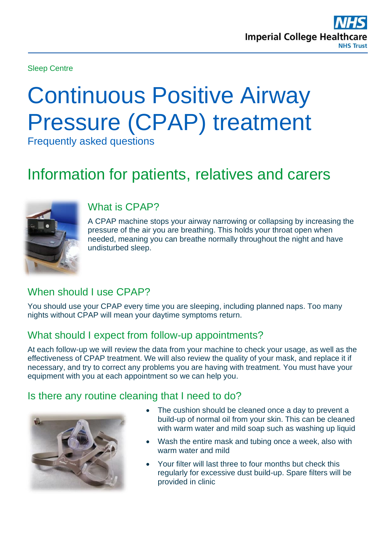

Sleep Centre

# Continuous Positive Airway Pressure (CPAP) treatment

Frequently asked questions

# Information for patients, relatives and carers



#### What is CPAP?

A CPAP machine stops your airway narrowing or collapsing by increasing the pressure of the air you are breathing. This holds your throat open when needed, meaning you can breathe normally throughout the night and have undisturbed sleep.

## When should I use CPAP?

You should use your CPAP every time you are sleeping, including planned naps. Too many nights without CPAP will mean your daytime symptoms return.

### What should I expect from follow-up appointments?

At each follow-up we will review the data from your machine to check your usage, as well as the effectiveness of CPAP treatment. We will also review the quality of your mask, and replace it if necessary, and try to correct any problems you are having with treatment. You must have your equipment with you at each appointment so we can help you.

#### Is there any routine cleaning that I need to do?



- The cushion should be cleaned once a day to prevent a build-up of normal oil from your skin. This can be cleaned with warm water and mild soap such as washing up liquid
- Wash the entire mask and tubing once a week, also with warm water and mild
- Your filter will last three to four months but check this regularly for excessive dust build-up. Spare filters will be provided in clinic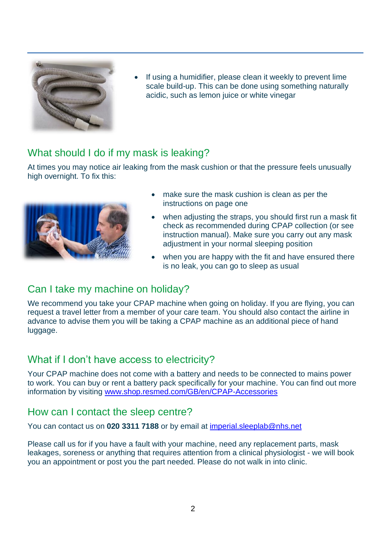

If using a humidifier, please clean it weekly to prevent lime scale build-up. This can be done using something naturally acidic, such as lemon juice or white vinegar

#### What should I do if my mask is leaking?

At times you may notice air leaking from the mask cushion or that the pressure feels unusually high overnight. To fix this:



- make sure the mask cushion is clean as per the instructions on page one
- when adjusting the straps, you should first run a mask fit check as recommended during CPAP collection (or see instruction manual). Make sure you carry out any mask adjustment in your normal sleeping position
- when you are happy with the fit and have ensured there is no leak, you can go to sleep as usual

### Can I take my machine on holiday?

We recommend you take your CPAP machine when going on holiday. If you are flying, you can request a travel letter from a member of your care team. You should also contact the airline in advance to advise them you will be taking a CPAP machine as an additional piece of hand luggage.

### What if I don't have access to electricity?

Your CPAP machine does not come with a battery and needs to be connected to mains power to work. You can buy or rent a battery pack specifically for your machine. You can find out more information by visiting [www.shop.resmed.com/GB/en/CPAP-Accessories](http://www.shop.resmed.com/GB/en/CPAP-Accessories)

### How can I contact the sleep centre?

You can contact us on **020 3311 7188** or by email at [imperial.sleeplab@nhs.net](mailto:imperial.sleeplab@nhs.net)

Please call us for if you have a fault with your machine, need any replacement parts, mask leakages, soreness or anything that requires attention from a clinical physiologist - we will book you an appointment or post you the part needed. Please do not walk in into clinic.